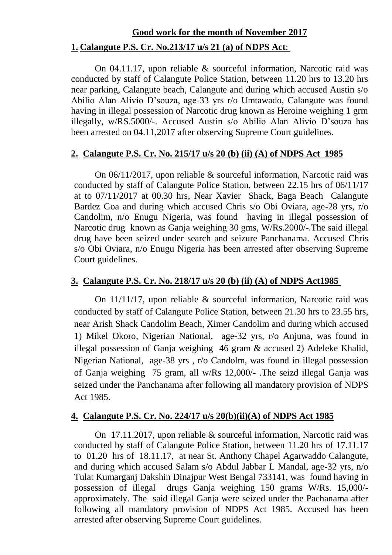# **Good work for the month of November 2017 1. Calangute P.S. Cr. No.213/17 u/s 21 (a) of NDPS Act**:

On 04.11.17, upon reliable & sourceful information, Narcotic raid was conducted by staff of Calangute Police Station, between 11.20 hrs to 13.20 hrs near parking, Calangute beach, Calangute and during which accused Austin s/o Abilio Alan Alivio D'souza, age-33 yrs r/o Umtawado, Calangute was found having in illegal possession of Narcotic drug known as Heroine weighing 1 grm illegally, w/RS.5000/-. Accused Austin s/o Abilio Alan Alivio D'souza has been arrested on 04.11,2017 after observing Supreme Court guidelines.

### **2. Calangute P.S. Cr. No. 215/17 u/s 20 (b) (ii) (A) of NDPS Act 1985**

On 06/11/2017, upon reliable & sourceful information, Narcotic raid was conducted by staff of Calangute Police Station, between 22.15 hrs of 06/11/17 at to 07/11/2017 at 00.30 hrs, Near Xavier Shack, Baga Beach Calangute Bardez Goa and during which accused Chris s/o Obi Oviara, age-28 yrs, r/o Candolim, n/o Enugu Nigeria, was found having in illegal possession of Narcotic drug known as Ganja weighing 30 gms, W/Rs.2000/-.The said illegal drug have been seized under search and seizure Panchanama. Accused Chris s/o Obi Oviara, n/o Enugu Nigeria has been arrested after observing Supreme Court guidelines.

### **3. Calangute P.S. Cr. No. 218/17 u/s 20 (b) (ii) (A) of NDPS Act1985**

On 11/11/17, upon reliable & sourceful information, Narcotic raid was conducted by staff of Calangute Police Station, between 21.30 hrs to 23.55 hrs, near Arish Shack Candolim Beach, Ximer Candolim and during which accused 1) Mikel Okoro, Nigerian National, age-32 yrs, r/o Anjuna, was found in illegal possession of Ganja weighing 46 gram & accused 2) Adeleke Khalid, Nigerian National, age-38 yrs , r/o Candolm, was found in illegal possession of Ganja weighing 75 gram, all w/Rs 12,000/- .The seizd illegal Ganja was seized under the Panchanama after following all mandatory provision of NDPS Act 1985.

### **4. Calangute P.S. Cr. No. 224/17 u/s 20(b)(ii)(A) of NDPS Act 1985**

On 17.11.2017, upon reliable & sourceful information, Narcotic raid was conducted by staff of Calangute Police Station, between 11.20 hrs of 17.11.17 to 01.20 hrs of 18.11.17, at near St. Anthony Chapel Agarwaddo Calangute, and during which accused Salam s/o Abdul Jabbar L Mandal, age-32 yrs, n/o Tulat Kumarganj Dakshin Dinajpur West Bengal 733141, was found having in possession of illegal drugs Ganja weighing 150 grams W/Rs. 15,000/ approximately. The said illegal Ganja were seized under the Pachanama after following all mandatory provision of NDPS Act 1985. Accused has been arrested after observing Supreme Court guidelines.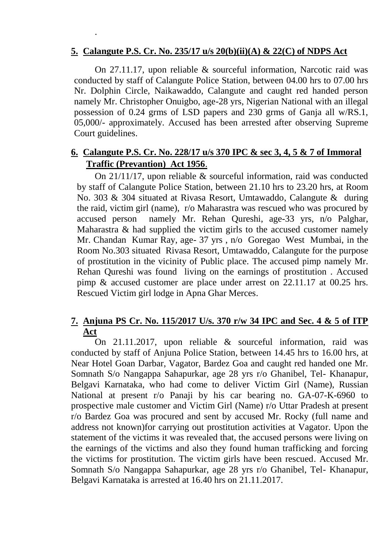### **5. Calangute P.S. Cr. No. 235/17 u/s 20(b)(ii)(A) & 22(C) of NDPS Act**

.

On 27.11.17, upon reliable & sourceful information, Narcotic raid was conducted by staff of Calangute Police Station, between 04.00 hrs to 07.00 hrs Nr. Dolphin Circle, Naikawaddo, Calangute and caught red handed person namely Mr. Christopher Onuigbo, age-28 yrs, Nigerian National with an illegal possession of 0.24 grms of LSD papers and 230 grms of Ganja all w/RS.1, 05,000/- approximately. Accused has been arrested after observing Supreme Court guidelines.

## **6. Calangute P.S. Cr. No. 228/17 u/s 370 IPC & sec 3, 4, 5 & 7 of Immoral Traffic (Prevantion) Act 1956**.

On 21/11/17, upon reliable & sourceful information, raid was conducted by staff of Calangute Police Station, between 21.10 hrs to 23.20 hrs, at Room No. 303 & 304 situated at Rivasa Resort, Umtawaddo, Calangute & during the raid, victim girl (name), r/o Maharastra was rescued who was procured by accused person namely Mr. Rehan Qureshi, age-33 yrs, n/o Palghar, Maharastra & had supplied the victim girls to the accused customer namely Mr. Chandan Kumar Ray, age- 37 yrs , n/o Goregao West Mumbai, in the Room No.303 situated Rivasa Resort, Umtawaddo, Calangute for the purpose of prostitution in the vicinity of Public place. The accused pimp namely Mr. Rehan Qureshi was found living on the earnings of prostitution . Accused pimp & accused customer are place under arrest on 22.11.17 at 00.25 hrs. Rescued Victim girl lodge in Apna Ghar Merces.

### **7. Anjuna PS Cr. No. 115/2017 U/s. 370 r/w 34 IPC and Sec. 4 & 5 of ITP Act**

On 21.11.2017, upon reliable & sourceful information, raid was conducted by staff of Anjuna Police Station, between 14.45 hrs to 16.00 hrs, at Near Hotel Goan Darbar, Vagator, Bardez Goa and caught red handed one Mr. Somnath S/o Nangappa Sahapurkar, age 28 yrs r/o Ghanibel, Tel- Khanapur, Belgavi Karnataka, who had come to deliver Victim Girl (Name), Russian National at present r/o Panaji by his car bearing no. GA-07-K-6960 to prospective male customer and Victim Girl (Name) r/o Uttar Pradesh at present r/o Bardez Goa was procured and sent by accused Mr. Rocky (full name and address not known)for carrying out prostitution activities at Vagator. Upon the statement of the victims it was revealed that, the accused persons were living on the earnings of the victims and also they found human trafficking and forcing the victims for prostitution. The victim girls have been rescued. Accused Mr. Somnath S/o Nangappa Sahapurkar, age 28 yrs r/o Ghanibel, Tel- Khanapur, Belgavi Karnataka is arrested at 16.40 hrs on 21.11.2017.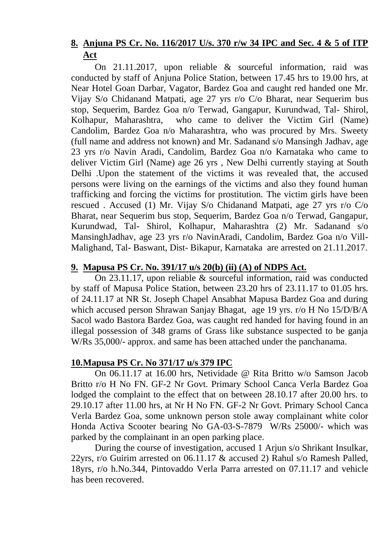# **8. Anjuna PS Cr. No. 116/2017 U/s. 370 r/w 34 IPC and Sec. 4 & 5 of ITP Act**

On 21.11.2017, upon reliable & sourceful information, raid was conducted by staff of Anjuna Police Station, between 17.45 hrs to 19.00 hrs, at Near Hotel Goan Darbar, Vagator, Bardez Goa and caught red handed one Mr. Vijay S/o Chidanand Matpati, age 27 yrs r/o C/o Bharat, near Sequerim bus stop, Sequerim, Bardez Goa n/o Terwad, Gangapur, Kurundwad, Tal- Shirol, Kolhapur, Maharashtra, who came to deliver the Victim Girl (Name) Candolim, Bardez Goa n/o Maharashtra, who was procured by Mrs. Sweety (full name and address not known) and Mr. Sadanand s/o Mansingh Jadhav, age 23 yrs r/o Navin Aradi, Candolim, Bardez Goa n/o Karnataka who came to deliver Victim Girl (Name) age 26 yrs , New Delhi currently staying at South Delhi .Upon the statement of the victims it was revealed that, the accused persons were living on the earnings of the victims and also they found human trafficking and forcing the victims for prostitution. The victim girls have been rescued . Accused (1) Mr. Vijay S/o Chidanand Matpati, age 27 yrs r/o C/o Bharat, near Sequerim bus stop, Sequerim, Bardez Goa n/o Terwad, Gangapur, Kurundwad, Tal- Shirol, Kolhapur, Maharashtra (2) Mr. Sadanand s/o MansinghJadhav, age 23 yrs r/o NavinAradi, Candolim, Bardez Goa n/o Vill-Malighand, Tal- Baswant, Dist- Bikapur, Karnataka are arrested on 21.11.2017.

# **9. Mapusa PS Cr. No. 391/17 u/s 20(b) (ii) (A) of NDPS Act.**

On 23.11.17, upon reliable & sourceful information, raid was conducted by staff of Mapusa Police Station, between 23.20 hrs of 23.11.17 to 01.05 hrs. of 24.11.17 at NR St. Joseph Chapel Ansabhat Mapusa Bardez Goa and during which accused person Shrawan Sanjay Bhagat, age 19 yrs. r/o H No 15/D/B/A Sacol wado Bastora Bardez Goa, was caught red handed for having found in an illegal possession of 348 grams of Grass like substance suspected to be ganja W/Rs 35,000/- approx. and same has been attached under the panchanama.

### **10.Mapusa PS Cr. No 371/17 u/s 379 IPC**

On 06.11.17 at 16.00 hrs, Netividade @ Rita Britto w/o Samson Jacob Britto r/o H No FN. GF-2 Nr Govt. Primary School Canca Verla Bardez Goa lodged the complaint to the effect that on between 28.10.17 after 20.00 hrs. to 29.10.17 after 11.00 hrs, at Nr H No FN. GF-2 Nr Govt. Primary School Canca Verla Bardez Goa, some unknown person stole away complainant white color Honda Activa Scooter bearing No GA-03-S-7879 W/Rs 25000/- which was parked by the complainant in an open parking place.

During the course of investigation, accused 1 Arjun s/o Shrikant Insulkar, 22yrs, r/o Guirim arrested on 06.11.17 & accused 2) Rahul s/o Ramesh Palled, 18yrs, r/o h.No.344, Pintovaddo Verla Parra arrested on 07.11.17 and vehicle has been recovered.